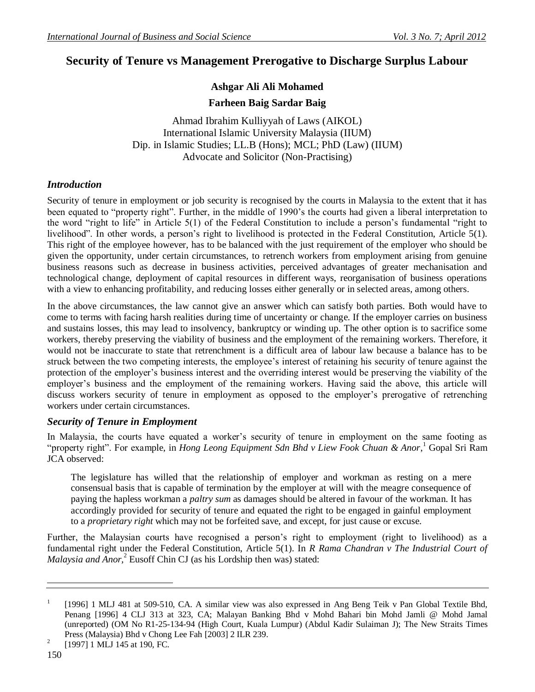# **Security of Tenure vs Management Prerogative to Discharge Surplus Labour**

# **Ashgar Ali Ali Mohamed**

**Farheen Baig Sardar Baig**

Ahmad Ibrahim Kulliyyah of Laws (AIKOL) International Islamic University Malaysia (IIUM) Dip. in Islamic Studies; LL.B (Hons); MCL; PhD (Law) (IIUM) Advocate and Solicitor (Non-Practising)

#### *Introduction*

Security of tenure in employment or job security is recognised by the courts in Malaysia to the extent that it has been equated to "property right". Further, in the middle of 1990's the courts had given a liberal interpretation to the word "right to life" in Article 5(1) of the Federal Constitution to include a person's fundamental "right to livelihood". In other words, a person's right to livelihood is protected in the Federal Constitution, Article 5(1). This right of the employee however, has to be balanced with the just requirement of the employer who should be given the opportunity, under certain circumstances, to retrench workers from employment arising from genuine business reasons such as decrease in business activities, perceived advantages of greater mechanisation and technological change, deployment of capital resources in different ways, reorganisation of business operations with a view to enhancing profitability, and reducing losses either generally or in selected areas, among others.

In the above circumstances, the law cannot give an answer which can satisfy both parties. Both would have to come to terms with facing harsh realities during time of uncertainty or change. If the employer carries on business and sustains losses, this may lead to insolvency, bankruptcy or winding up. The other option is to sacrifice some workers, thereby preserving the viability of business and the employment of the remaining workers. Therefore, it would not be inaccurate to state that retrenchment is a difficult area of labour law because a balance has to be struck between the two competing interests, the employee's interest of retaining his security of tenure against the protection of the employer's business interest and the overriding interest would be preserving the viability of the employer's business and the employment of the remaining workers. Having said the above, this article will discuss workers security of tenure in employment as opposed to the employer's prerogative of retrenching workers under certain circumstances.

## *Security of Tenure in Employment*

In Malaysia, the courts have equated a worker's security of tenure in employment on the same footing as "property right". For example, in *Hong Leong Equipment Sdn Bhd v Liew Fook Chuan & Anor*, <sup>1</sup> Gopal Sri Ram JCA observed:

The legislature has willed that the relationship of employer and workman as resting on a mere consensual basis that is capable of termination by the employer at will with the meagre consequence of paying the hapless workman a *paltry sum* as damages should be altered in favour of the workman. It has accordingly provided for security of tenure and equated the right to be engaged in gainful employment to a *proprietary right* which may not be forfeited save, and except, for just cause or excuse.

Further, the Malaysian courts have recognised a person's right to employment (right to livelihood) as a fundamental right under the Federal Constitution, Article 5(1). In *R Rama Chandran v The Industrial Court of*  Malaysia and Anor,<sup>2</sup> Eusoff Chin CJ (as his Lordship then was) stated:

<sup>1</sup> [1996] 1 MLJ 481 at 509-510, CA. A similar view was also expressed in Ang Beng Teik v Pan Global Textile Bhd, Penang [1996] 4 CLJ 313 at 323, CA; Malayan Banking Bhd v Mohd Bahari bin Mohd Jamli @ Mohd Jamal (unreported) (OM No R1-25-134-94 (High Court, Kuala Lumpur) (Abdul Kadir Sulaiman J); The New Straits Times Press (Malaysia) Bhd v Chong Lee Fah [2003] 2 ILR 239.

<sup>2</sup> [1997] 1 MLJ 145 at 190, FC.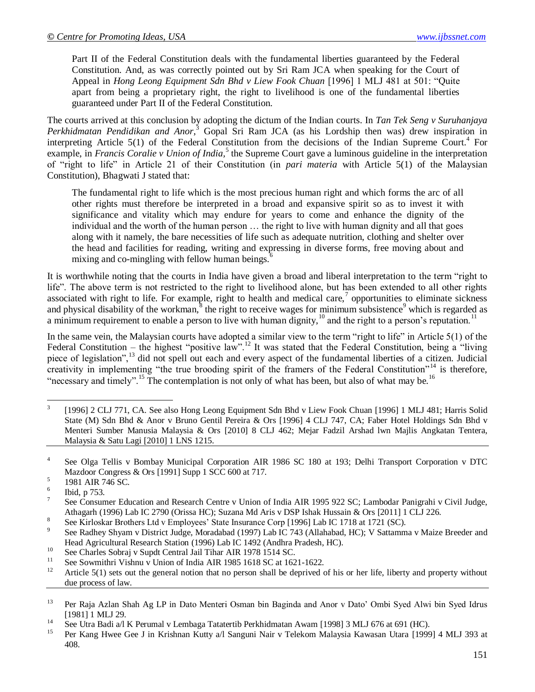Part II of the Federal Constitution deals with the fundamental liberties guaranteed by the Federal Constitution. And, as was correctly pointed out by Sri Ram JCA when speaking for the Court of Appeal in *Hong Leong Equipment Sdn Bhd v Liew Fook Chuan* [1996] 1 MLJ 481 at 501: "Quite apart from being a proprietary right, the right to livelihood is one of the fundamental liberties guaranteed under Part II of the Federal Constitution.

The courts arrived at this conclusion by adopting the dictum of the Indian courts. In *Tan Tek Seng v Suruhanjaya*  Perkhidmatan Pendidikan and Anor,<sup>3</sup> Gopal Sri Ram JCA (as his Lordship then was) drew inspiration in interpreting Article  $5(1)$  of the Federal Constitution from the decisions of the Indian Supreme Court.<sup>4</sup> For example, in *Francis Coralie v Union of India*,<sup>5</sup> the Supreme Court gave a luminous guideline in the interpretation of "right to life" in Article 21 of their Constitution (in *pari materia* with Article 5(1) of the Malaysian Constitution), Bhagwati J stated that:

The fundamental right to life which is the most precious human right and which forms the arc of all other rights must therefore be interpreted in a broad and expansive spirit so as to invest it with significance and vitality which may endure for years to come and enhance the dignity of the individual and the worth of the human person … the right to live with human dignity and all that goes along with it namely, the bare necessities of life such as adequate nutrition, clothing and shelter over the head and facilities for reading, writing and expressing in diverse forms, free moving about and mixing and co-mingling with fellow human beings.<sup>6</sup>

It is worthwhile noting that the courts in India have given a broad and liberal interpretation to the term "right to life". The above term is not restricted to the right to livelihood alone, but has been extended to all other rights associated with right to life. For example, right to health and medical care, $\alpha$  opportunities to eliminate sickness and physical disability of the workman, $\frac{8}{3}$  the right to receive wages for minimum subsistence<sup>9</sup> which is regarded as a minimum requirement to enable a person to live with human dignity,  $10^1$  and the right to a person's reputation.<sup>11</sup>

In the same vein, the Malaysian courts have adopted a similar view to the term "right to life" in Article 5(1) of the Federal Constitution – the highest "positive law".<sup>12</sup> It was stated that the Federal Constitution, being a "living piece of legislation",<sup>13</sup> did not spell out each and every aspect of the fundamental liberties of a citizen. Judicial creativity in implementing "the true brooding spirit of the framers of the Federal Constitution"<sup>14</sup> is therefore, "necessary and timely".<sup>15</sup> The contemplation is not only of what has been, but also of what may be.<sup>16</sup>

- 8 See Kirloskar Brothers Ltd v Employees' State Insurance Corp [1996] Lab IC 1718 at 1721 (SC).
- 9 See Radhey Shyam v District Judge, Moradabad (1997) Lab IC 743 (Allahabad, HC); V Sattamma v Maize Breeder and Head Agricultural Research Station (1996) Lab IC 1492 (Andhra Pradesh, HC).
- <sup>10</sup> See Charles Sobraj v Supdt Central Jail Tihar AIR 1978 1514 SC.
- <sup>11</sup> See Sowmithri Vishnu v Union of India AIR 1985 1618 SC at 1621-1622.
- Article 5(1) sets out the general notion that no person shall be deprived of his or her life, liberty and property without due process of law.

<sup>&</sup>lt;sup>2</sup><br>3 [1996] 2 CLJ 771, CA. See also Hong Leong Equipment Sdn Bhd v Liew Fook Chuan [1996] 1 MLJ 481; Harris Solid State (M) Sdn Bhd & Anor v Bruno Gentil Pereira & Ors [1996] 4 CLJ 747, CA; Faber Hotel Holdings Sdn Bhd v Menteri Sumber Manusia Malaysia & Ors [2010] 8 CLJ 462; Mejar Fadzil Arshad lwn Majlis Angkatan Tentera, Malaysia & Satu Lagi [2010] 1 LNS 1215.

<sup>4</sup> See Olga Tellis v Bombay Municipal Corporation AIR 1986 SC 180 at 193; Delhi Transport Corporation v DTC Mazdoor Congress & Ors [1991] Supp 1 SCC 600 at 717.

<sup>5</sup> 1981 AIR 746 SC.

<sup>6</sup> Ibid, p 753.

<sup>7</sup> See Consumer Education and Research Centre v Union of India AIR 1995 922 SC; Lambodar Panigrahi v Civil Judge, Athagarh (1996) Lab IC 2790 (Orissa HC); Suzana Md Aris v DSP Ishak Hussain & Ors [2011] 1 CLJ 226.

<sup>&</sup>lt;sup>13</sup> Per Raja Azlan Shah Ag LP in Dato Menteri Osman bin Baginda and Anor v Dato' Ombi Syed Alwi bin Syed Idrus [1981] 1 MLJ 29.

<sup>&</sup>lt;sup>14</sup> See Utra Badi a/l K Perumal v Lembaga Tatatertib Perkhidmatan Awam [1998] 3 MLJ 676 at 691 (HC).

<sup>15</sup> Per Kang Hwee Gee J in Krishnan Kutty a/l Sanguni Nair v Telekom Malaysia Kawasan Utara [1999] 4 MLJ 393 at 408.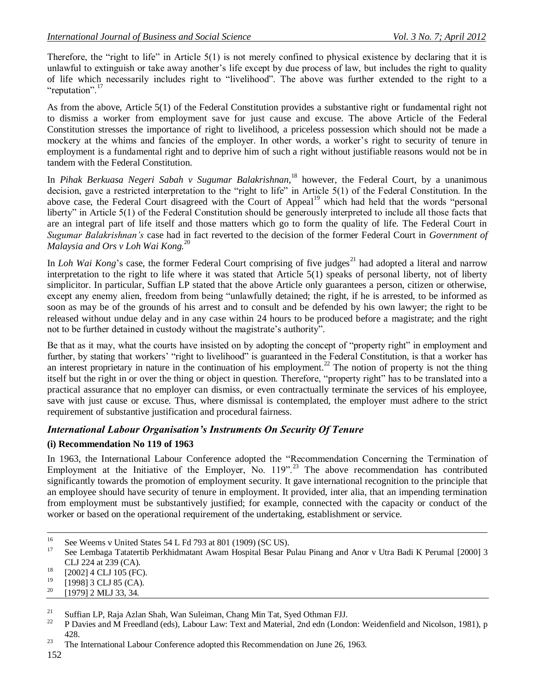Therefore, the "right to life" in Article  $5(1)$  is not merely confined to physical existence by declaring that it is unlawful to extinguish or take away another's life except by due process of law, but includes the right to quality of life which necessarily includes right to "livelihood". The above was further extended to the right to a "reputation".<sup>17</sup>

As from the above, Article 5(1) of the Federal Constitution provides a substantive right or fundamental right not to dismiss a worker from employment save for just cause and excuse. The above Article of the Federal Constitution stresses the importance of right to livelihood, a priceless possession which should not be made a mockery at the whims and fancies of the employer. In other words, a worker's right to security of tenure in employment is a fundamental right and to deprive him of such a right without justifiable reasons would not be in tandem with the Federal Constitution.

In *Pihak Berkuasa Negeri Sabah v Sugumar Balakrishnan,*<sup>18</sup> however, the Federal Court, by a unanimous decision, gave a restricted interpretation to the "right to life" in Article 5(1) of the Federal Constitution. In the above case, the Federal Court disagreed with the Court of Appeal<sup>19</sup> which had held that the words "personal liberty" in Article 5(1) of the Federal Constitution should be generously interpreted to include all those facts that are an integral part of life itself and those matters which go to form the quality of life. The Federal Court in *Sugumar Balakrishnan's* case had in fact reverted to the decision of the former Federal Court in *Government of Malaysia and Ors v Loh Wai Kong.*<sup>20</sup>

In *Loh Wai Kong*'s case, the former Federal Court comprising of five judges<sup>21</sup> had adopted a literal and narrow interpretation to the right to life where it was stated that Article 5(1) speaks of personal liberty, not of liberty simplicitor. In particular, Suffian LP stated that the above Article only guarantees a person, citizen or otherwise, except any enemy alien, freedom from being "unlawfully detained; the right, if he is arrested, to be informed as soon as may be of the grounds of his arrest and to consult and be defended by his own lawyer; the right to be released without undue delay and in any case within 24 hours to be produced before a magistrate; and the right not to be further detained in custody without the magistrate's authority".

Be that as it may, what the courts have insisted on by adopting the concept of "property right" in employment and further, by stating that workers' "right to livelihood" is guaranteed in the Federal Constitution, is that a worker has an interest proprietary in nature in the continuation of his employment.<sup>22</sup> The notion of property is not the thing itself but the right in or over the thing or object in question. Therefore, "property right" has to be translated into a practical assurance that no employer can dismiss, or even contractually terminate the services of his employee, save with just cause or excuse. Thus, where dismissal is contemplated, the employer must adhere to the strict requirement of substantive justification and procedural fairness.

# *International Labour Organisation's Instruments On Security Of Tenure*

## **(i) Recommendation No 119 of 1963**

In 1963, the International Labour Conference adopted the "Recommendation Concerning the Termination of Employment at the Initiative of the Employer, No. 119".<sup>23</sup> The above recommendation has contributed significantly towards the promotion of employment security. It gave international recognition to the principle that an employee should have security of tenure in employment. It provided, inter alia, that an impending termination from employment must be substantively justified; for example, connected with the capacity or conduct of the worker or based on the operational requirement of the undertaking, establishment or service.

- $^{19}$  [1998] 3 CLJ 85 (CA).
- [1979] 2 MLJ 33, 34.

<sup>21</sup> Suffian LP, Raja Azlan Shah, Wan Suleiman, Chang Min Tat, Syed Othman FJJ.<br><sup>22</sup> B Davise and M Freedland (eds), Labour Law: Toyt and Material, 2nd edn (Lond

 $16$ <sup>16</sup> See Weems v United States 54 L Fd 793 at 801 (1909) (SC US).

<sup>17</sup> See Lembaga Tatatertib Perkhidmatant Awam Hospital Besar Pulau Pinang and Anor v Utra Badi K Perumal [2000] 3 CLJ 224 at 239 (CA).

 $^{18}$  [2002] 4 CLJ 105 (FC).

<sup>22</sup> P Davies and M Freedland (eds), Labour Law: Text and Material, 2nd edn (London: Weidenfield and Nicolson, 1981), p 428.

<sup>&</sup>lt;sup>23</sup> The International Labour Conference adopted this Recommendation on June 26, 1963.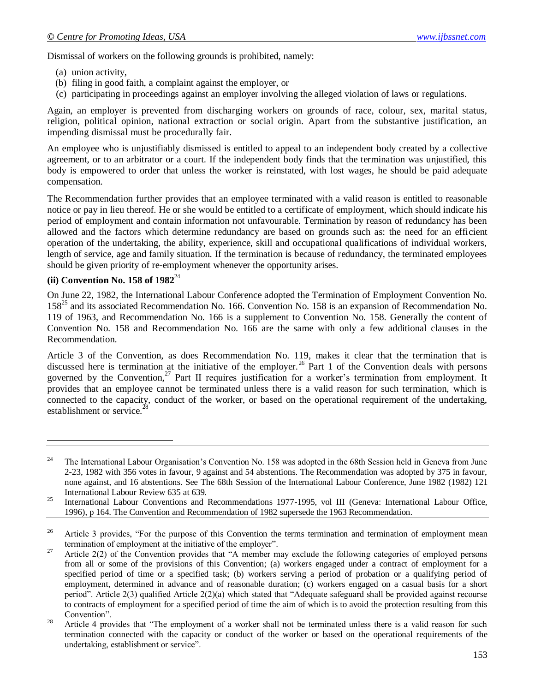Dismissal of workers on the following grounds is prohibited, namely:

- (a) union activity,
- (b) filing in good faith, a complaint against the employer, or
- (c) participating in proceedings against an employer involving the alleged violation of laws or regulations.

Again, an employer is prevented from discharging workers on grounds of race, colour, sex, marital status, religion, political opinion, national extraction or social origin. Apart from the substantive justification, an impending dismissal must be procedurally fair.

An employee who is unjustifiably dismissed is entitled to appeal to an independent body created by a collective agreement, or to an arbitrator or a court. If the independent body finds that the termination was unjustified, this body is empowered to order that unless the worker is reinstated, with lost wages, he should be paid adequate compensation.

The Recommendation further provides that an employee terminated with a valid reason is entitled to reasonable notice or pay in lieu thereof. He or she would be entitled to a certificate of employment, which should indicate his period of employment and contain information not unfavourable. Termination by reason of redundancy has been allowed and the factors which determine redundancy are based on grounds such as: the need for an efficient operation of the undertaking, the ability, experience, skill and occupational qualifications of individual workers, length of service, age and family situation. If the termination is because of redundancy, the terminated employees should be given priority of re-employment whenever the opportunity arises.

#### **(ii) Convention No. 158 of 1982**<sup>24</sup>

 $\overline{a}$ 

On June 22, 1982, the International Labour Conference adopted the Termination of Employment Convention No. 158<sup>25</sup> and its associated Recommendation No. 166. Convention No. 158 is an expansion of Recommendation No. 119 of 1963, and Recommendation No. 166 is a supplement to Convention No. 158. Generally the content of Convention No. 158 and Recommendation No. 166 are the same with only a few additional clauses in the Recommendation.

Article 3 of the Convention, as does Recommendation No. 119, makes it clear that the termination that is discussed here is termination at the initiative of the employer.<sup>26</sup> Part 1 of the Convention deals with persons governed by the Convention,<sup>27</sup> Part II requires justification for a worker's termination from employment. It provides that an employee cannot be terminated unless there is a valid reason for such termination, which is connected to the capacity, conduct of the worker, or based on the operational requirement of the undertaking, establishment or service.<sup>2</sup>

<sup>&</sup>lt;sup>24</sup> The International Labour Organisation's Convention No. 158 was adopted in the 68th Session held in Geneva from June 2-23, 1982 with 356 votes in favour, 9 against and 54 abstentions. The Recommendation was adopted by 375 in favour, none against, and 16 abstentions. See The 68th Session of the International Labour Conference, June 1982 (1982) 121 International Labour Review 635 at 639.

<sup>&</sup>lt;sup>25</sup> International Labour Conventions and Recommendations 1977-1995, vol III (Geneva: International Labour Office, 1996), p 164. The Convention and Recommendation of 1982 supersede the 1963 Recommendation.

<sup>&</sup>lt;sup>26</sup> Article 3 provides, "For the purpose of this Convention the terms termination and termination of employment mean termination of employment at the initiative of the employer".

<sup>&</sup>lt;sup>27</sup> Article 2(2) of the Convention provides that "A member may exclude the following categories of employed persons from all or some of the provisions of this Convention; (a) workers engaged under a contract of employment for a specified period of time or a specified task; (b) workers serving a period of probation or a qualifying period of employment, determined in advance and of reasonable duration; (c) workers engaged on a casual basis for a short period". Article 2(3) qualified Article 2(2)(a) which stated that "Adequate safeguard shall be provided against recourse to contracts of employment for a specified period of time the aim of which is to avoid the protection resulting from this Convention".

<sup>&</sup>lt;sup>28</sup> Article 4 provides that "The employment of a worker shall not be terminated unless there is a valid reason for such termination connected with the capacity or conduct of the worker or based on the operational requirements of the undertaking, establishment or service".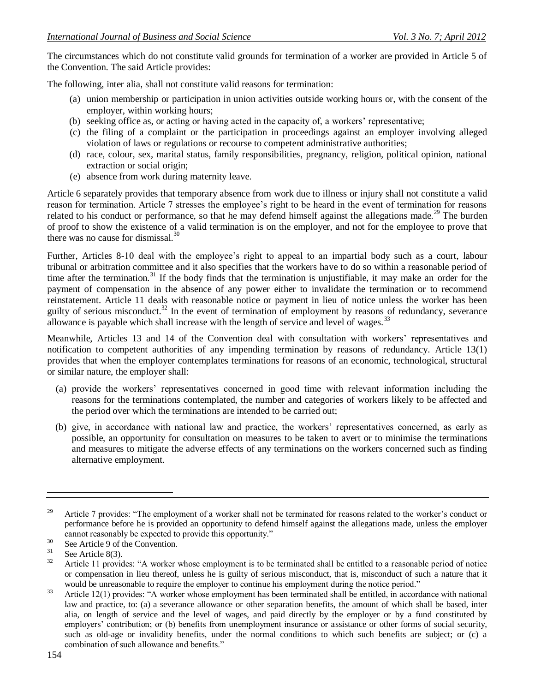The circumstances which do not constitute valid grounds for termination of a worker are provided in Article 5 of the Convention. The said Article provides:

The following, inter alia, shall not constitute valid reasons for termination:

- (a) union membership or participation in union activities outside working hours or, with the consent of the employer, within working hours;
- (b) seeking office as, or acting or having acted in the capacity of, a workers' representative;
- (c) the filing of a complaint or the participation in proceedings against an employer involving alleged violation of laws or regulations or recourse to competent administrative authorities;
- (d) race, colour, sex, marital status, family responsibilities, pregnancy, religion, political opinion, national extraction or social origin;
- (e) absence from work during maternity leave.

Article 6 separately provides that temporary absence from work due to illness or injury shall not constitute a valid reason for termination. Article 7 stresses the employee's right to be heard in the event of termination for reasons related to his conduct or performance, so that he may defend himself against the allegations made.<sup>29</sup> The burden of proof to show the existence of a valid termination is on the employer, and not for the employee to prove that there was no cause for dismissal. $^{30}$ 

Further, Articles 8-10 deal with the employee's right to appeal to an impartial body such as a court, labour tribunal or arbitration committee and it also specifies that the workers have to do so within a reasonable period of time after the termination.<sup>31</sup> If the body finds that the termination is unjustifiable, it may make an order for the payment of compensation in the absence of any power either to invalidate the termination or to recommend reinstatement. Article 11 deals with reasonable notice or payment in lieu of notice unless the worker has been guilty of serious misconduct.<sup>32</sup> In the event of termination of employment by reasons of redundancy, severance allowance is payable which shall increase with the length of service and level of wages.<sup>33</sup>

Meanwhile, Articles 13 and 14 of the Convention deal with consultation with workers' representatives and notification to competent authorities of any impending termination by reasons of redundancy. Article 13(1) provides that when the employer contemplates terminations for reasons of an economic, technological, structural or similar nature, the employer shall:

- (a) provide the workers' representatives concerned in good time with relevant information including the reasons for the terminations contemplated, the number and categories of workers likely to be affected and the period over which the terminations are intended to be carried out;
- (b) give, in accordance with national law and practice, the workers' representatives concerned, as early as possible, an opportunity for consultation on measures to be taken to avert or to minimise the terminations and measures to mitigate the adverse effects of any terminations on the workers concerned such as finding alternative employment.

<sup>&</sup>lt;sup>29</sup> Article 7 provides: "The employment of a worker shall not be terminated for reasons related to the worker's conduct or performance before he is provided an opportunity to defend himself against the allegations made, unless the employer cannot reasonably be expected to provide this opportunity."

<sup>&</sup>lt;sup>30</sup> See Article 9 of the Convention.

 $\frac{31}{32}$  See Article 8(3).

<sup>32</sup> Article 11 provides: "A worker whose employment is to be terminated shall be entitled to a reasonable period of notice or compensation in lieu thereof, unless he is guilty of serious misconduct, that is, misconduct of such a nature that it would be unreasonable to require the employer to continue his employment during the notice period."

<sup>&</sup>lt;sup>33</sup> Article 12(1) provides: "A worker whose employment has been terminated shall be entitled, in accordance with national law and practice, to: (a) a severance allowance or other separation benefits, the amount of which shall be based, inter alia, on length of service and the level of wages, and paid directly by the employer or by a fund constituted by employers' contribution; or (b) benefits from unemployment insurance or assistance or other forms of social security, such as old-age or invalidity benefits, under the normal conditions to which such benefits are subject; or (c) a combination of such allowance and benefits."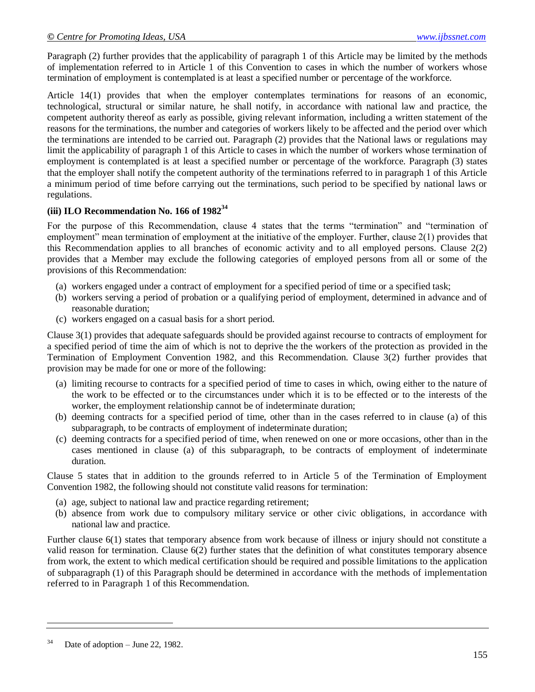Paragraph (2) further provides that the applicability of paragraph 1 of this Article may be limited by the methods of implementation referred to in Article 1 of this Convention to cases in which the number of workers whose termination of employment is contemplated is at least a specified number or percentage of the workforce.

Article 14(1) provides that when the employer contemplates terminations for reasons of an economic, technological, structural or similar nature, he shall notify, in accordance with national law and practice, the competent authority thereof as early as possible, giving relevant information, including a written statement of the reasons for the terminations, the number and categories of workers likely to be affected and the period over which the terminations are intended to be carried out. Paragraph (2) provides that the National laws or regulations may limit the applicability of paragraph 1 of this Article to cases in which the number of workers whose termination of employment is contemplated is at least a specified number or percentage of the workforce. Paragraph (3) states that the employer shall notify the competent authority of the terminations referred to in paragraph 1 of this Article a minimum period of time before carrying out the terminations, such period to be specified by national laws or regulations.

### **(iii) ILO Recommendation No. 166 of 1982<sup>34</sup>**

For the purpose of this Recommendation, clause 4 states that the terms "termination" and "termination of employment" mean termination of employment at the initiative of the employer. Further, clause 2(1) provides that this Recommendation applies to all branches of economic activity and to all employed persons. Clause 2(2) provides that a Member may exclude the following categories of employed persons from all or some of the provisions of this Recommendation:

- (a) workers engaged under a contract of employment for a specified period of time or a specified task;
- (b) workers serving a period of probation or a qualifying period of employment, determined in advance and of reasonable duration;
- (c) workers engaged on a casual basis for a short period.

Clause 3(1) provides that adequate safeguards should be provided against recourse to contracts of employment for a specified period of time the aim of which is not to deprive the the workers of the protection as provided in the Termination of Employment Convention 1982, and this Recommendation. Clause 3(2) further provides that provision may be made for one or more of the following:

- (a) limiting recourse to contracts for a specified period of time to cases in which, owing either to the nature of the work to be effected or to the circumstances under which it is to be effected or to the interests of the worker, the employment relationship cannot be of indeterminate duration;
- (b) deeming contracts for a specified period of time, other than in the cases referred to in clause (a) of this subparagraph, to be contracts of employment of indeterminate duration;
- (c) deeming contracts for a specified period of time, when renewed on one or more occasions, other than in the cases mentioned in clause (a) of this subparagraph, to be contracts of employment of indeterminate duration.

Clause 5 states that in addition to the grounds referred to in Article 5 of the Termination of Employment Convention 1982, the following should not constitute valid reasons for termination:

- (a) age, subject to national law and practice regarding retirement;
- (b) absence from work due to compulsory military service or other civic obligations, in accordance with national law and practice.

Further clause 6(1) states that temporary absence from work because of illness or injury should not constitute a valid reason for termination. Clause 6(2) further states that the definition of what constitutes temporary absence from work, the extent to which medical certification should be required and possible limitations to the application of subparagraph (1) of this Paragraph should be determined in accordance with the methods of implementation referred to in Paragraph 1 of this Recommendation.

 $34$  Date of adoption – June 22, 1982.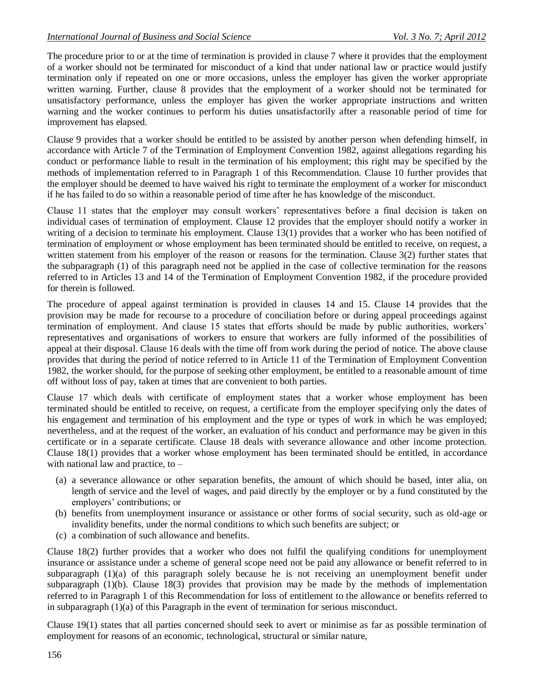The procedure prior to or at the time of termination is provided in clause 7 where it provides that the employment of a worker should not be terminated for misconduct of a kind that under national law or practice would justify termination only if repeated on one or more occasions, unless the employer has given the worker appropriate written warning. Further, clause 8 provides that the employment of a worker should not be terminated for unsatisfactory performance, unless the employer has given the worker appropriate instructions and written warning and the worker continues to perform his duties unsatisfactorily after a reasonable period of time for improvement has elapsed.

Clause 9 provides that a worker should be entitled to be assisted by another person when defending himself, in accordance with Article 7 of the Termination of Employment Convention 1982, against allegations regarding his conduct or performance liable to result in the termination of his employment; this right may be specified by the methods of implementation referred to in Paragraph 1 of this Recommendation. Clause 10 further provides that the employer should be deemed to have waived his right to terminate the employment of a worker for misconduct if he has failed to do so within a reasonable period of time after he has knowledge of the misconduct.

Clause 11 states that the employer may consult workers' representatives before a final decision is taken on individual cases of termination of employment. Clause 12 provides that the employer should notify a worker in writing of a decision to terminate his employment. Clause 13(1) provides that a worker who has been notified of termination of employment or whose employment has been terminated should be entitled to receive, on request, a written statement from his employer of the reason or reasons for the termination. Clause 3(2) further states that the subparagraph (1) of this paragraph need not be applied in the case of collective termination for the reasons referred to in Articles 13 and 14 of the Termination of Employment Convention 1982, if the procedure provided for therein is followed.

The procedure of appeal against termination is provided in clauses 14 and 15. Clause 14 provides that the provision may be made for recourse to a procedure of conciliation before or during appeal proceedings against termination of employment. And clause 15 states that efforts should be made by public authorities, workers' representatives and organisations of workers to ensure that workers are fully informed of the possibilities of appeal at their disposal. Clause 16 deals with the time off from work during the period of notice. The above clause provides that during the period of notice referred to in Article 11 of the Termination of Employment Convention 1982, the worker should, for the purpose of seeking other employment, be entitled to a reasonable amount of time off without loss of pay, taken at times that are convenient to both parties.

Clause 17 which deals with certificate of employment states that a worker whose employment has been terminated should be entitled to receive, on request, a certificate from the employer specifying only the dates of his engagement and termination of his employment and the type or types of work in which he was employed; nevertheless, and at the request of the worker, an evaluation of his conduct and performance may be given in this certificate or in a separate certificate. Clause 18 deals with severance allowance and other income protection. Clause 18(1) provides that a worker whose employment has been terminated should be entitled, in accordance with national law and practice, to –

- (a) a severance allowance or other separation benefits, the amount of which should be based, inter alia, on length of service and the level of wages, and paid directly by the employer or by a fund constituted by the employers' contributions; or
- (b) benefits from unemployment insurance or assistance or other forms of social security, such as old-age or invalidity benefits, under the normal conditions to which such benefits are subject; or
- (c) a combination of such allowance and benefits.

Clause 18(2) further provides that a worker who does not fulfil the qualifying conditions for unemployment insurance or assistance under a scheme of general scope need not be paid any allowance or benefit referred to in subparagraph (1)(a) of this paragraph solely because he is not receiving an unemployment benefit under subparagraph  $(1)(b)$ . Clause 18(3) provides that provision may be made by the methods of implementation referred to in Paragraph 1 of this Recommendation for loss of entitlement to the allowance or benefits referred to in subparagraph (1)(a) of this Paragraph in the event of termination for serious misconduct.

Clause 19(1) states that all parties concerned should seek to avert or minimise as far as possible termination of employment for reasons of an economic, technological, structural or similar nature,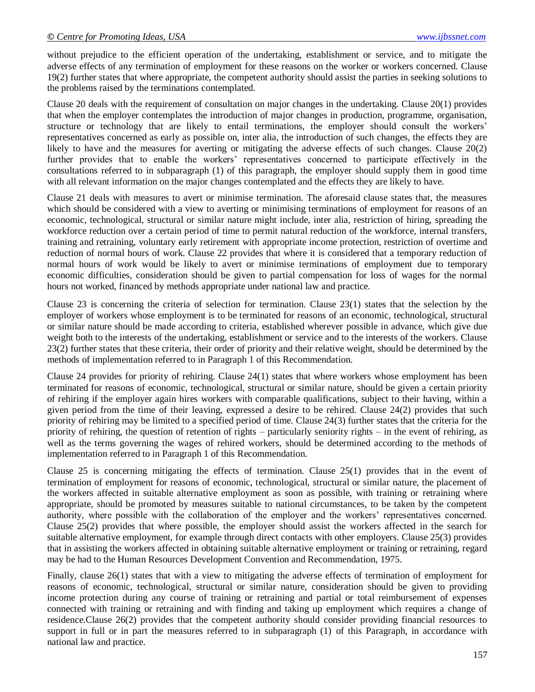without prejudice to the efficient operation of the undertaking, establishment or service, and to mitigate the adverse effects of any termination of employment for these reasons on the worker or workers concerned. Clause 19(2) further states that where appropriate, the competent authority should assist the parties in seeking solutions to the problems raised by the terminations contemplated.

Clause 20 deals with the requirement of consultation on major changes in the undertaking. Clause 20(1) provides that when the employer contemplates the introduction of major changes in production, programme, organisation, structure or technology that are likely to entail terminations, the employer should consult the workers' representatives concerned as early as possible on, inter alia, the introduction of such changes, the effects they are likely to have and the measures for averting or mitigating the adverse effects of such changes. Clause 20(2) further provides that to enable the workers' representatives concerned to participate effectively in the consultations referred to in subparagraph (1) of this paragraph, the employer should supply them in good time with all relevant information on the major changes contemplated and the effects they are likely to have.

Clause 21 deals with measures to avert or minimise termination. The aforesaid clause states that, the measures which should be considered with a view to averting or minimising terminations of employment for reasons of an economic, technological, structural or similar nature might include, inter alia, restriction of hiring, spreading the workforce reduction over a certain period of time to permit natural reduction of the workforce, internal transfers, training and retraining, voluntary early retirement with appropriate income protection, restriction of overtime and reduction of normal hours of work. Clause 22 provides that where it is considered that a temporary reduction of normal hours of work would be likely to avert or minimise terminations of employment due to temporary economic difficulties, consideration should be given to partial compensation for loss of wages for the normal hours not worked, financed by methods appropriate under national law and practice.

Clause 23 is concerning the criteria of selection for termination. Clause 23(1) states that the selection by the employer of workers whose employment is to be terminated for reasons of an economic, technological, structural or similar nature should be made according to criteria, established wherever possible in advance, which give due weight both to the interests of the undertaking, establishment or service and to the interests of the workers. Clause 23(2) further states that these criteria, their order of priority and their relative weight, should be determined by the methods of implementation referred to in Paragraph 1 of this Recommendation.

Clause 24 provides for priority of rehiring. Clause 24(1) states that where workers whose employment has been terminated for reasons of economic, technological, structural or similar nature, should be given a certain priority of rehiring if the employer again hires workers with comparable qualifications, subject to their having, within a given period from the time of their leaving, expressed a desire to be rehired. Clause 24(2) provides that such priority of rehiring may be limited to a specified period of time. Clause 24(3) further states that the criteria for the priority of rehiring, the question of retention of rights – particularly seniority rights – in the event of rehiring, as well as the terms governing the wages of rehired workers, should be determined according to the methods of implementation referred to in Paragraph 1 of this Recommendation.

Clause 25 is concerning mitigating the effects of termination. Clause 25(1) provides that in the event of termination of employment for reasons of economic, technological, structural or similar nature, the placement of the workers affected in suitable alternative employment as soon as possible, with training or retraining where appropriate, should be promoted by measures suitable to national circumstances, to be taken by the competent authority, where possible with the collaboration of the employer and the workers' representatives concerned. Clause 25(2) provides that where possible, the employer should assist the workers affected in the search for suitable alternative employment, for example through direct contacts with other employers. Clause 25(3) provides that in assisting the workers affected in obtaining suitable alternative employment or training or retraining, regard may be had to the Human Resources Development Convention and Recommendation, 1975.

Finally, clause 26(1) states that with a view to mitigating the adverse effects of termination of employment for reasons of economic, technological, structural or similar nature, consideration should be given to providing income protection during any course of training or retraining and partial or total reimbursement of expenses connected with training or retraining and with finding and taking up employment which requires a change of residence.Clause 26(2) provides that the competent authority should consider providing financial resources to support in full or in part the measures referred to in subparagraph (1) of this Paragraph, in accordance with national law and practice.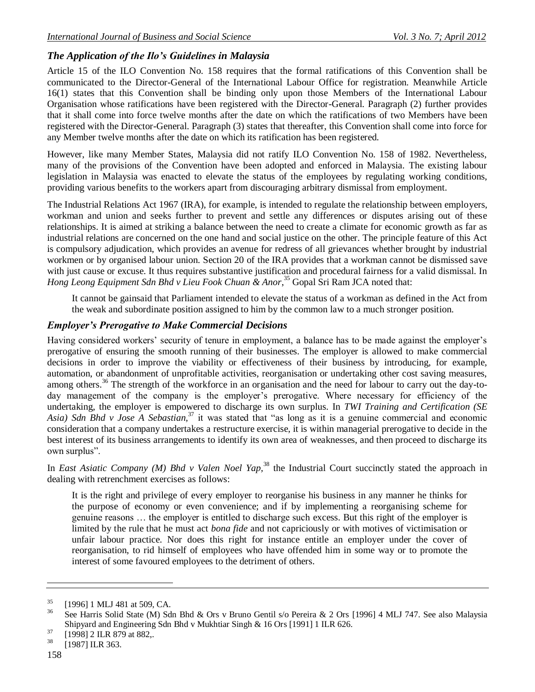# *The Application of the Ilo's Guidelines in Malaysia*

Article 15 of the ILO Convention No. 158 requires that the formal ratifications of this Convention shall be communicated to the Director-General of the International Labour Office for registration. Meanwhile Article 16(1) states that this Convention shall be binding only upon those Members of the International Labour Organisation whose ratifications have been registered with the Director-General. Paragraph (2) further provides that it shall come into force twelve months after the date on which the ratifications of two Members have been registered with the Director-General. Paragraph (3) states that thereafter, this Convention shall come into force for any Member twelve months after the date on which its ratification has been registered.

However, like many Member States, Malaysia did not ratify ILO Convention No. 158 of 1982. Nevertheless, many of the provisions of the Convention have been adopted and enforced in Malaysia. The existing labour legislation in Malaysia was enacted to elevate the status of the employees by regulating working conditions, providing various benefits to the workers apart from discouraging arbitrary dismissal from employment.

The Industrial Relations Act 1967 (IRA), for example, is intended to regulate the relationship between employers, workman and union and seeks further to prevent and settle any differences or disputes arising out of these relationships. It is aimed at striking a balance between the need to create a climate for economic growth as far as industrial relations are concerned on the one hand and social justice on the other. The principle feature of this Act is compulsory adjudication, which provides an avenue for redress of all grievances whether brought by industrial workmen or by organised labour union. Section 20 of the IRA provides that a workman cannot be dismissed save with just cause or excuse. It thus requires substantive justification and procedural fairness for a valid dismissal. In *Hong Leong Equipment Sdn Bhd v Lieu Fook Chuan & Anor*, <sup>35</sup> Gopal Sri Ram JCA noted that:

It cannot be gainsaid that Parliament intended to elevate the status of a workman as defined in the Act from the weak and subordinate position assigned to him by the common law to a much stronger position.

#### *Employer's Prerogative to Make Commercial Decisions*

Having considered workers' security of tenure in employment, a balance has to be made against the employer's prerogative of ensuring the smooth running of their businesses. The employer is allowed to make commercial decisions in order to improve the viability or effectiveness of their business by introducing, for example, automation, or abandonment of unprofitable activities, reorganisation or undertaking other cost saving measures, among others.<sup>36</sup> The strength of the workforce in an organisation and the need for labour to carry out the day-today management of the company is the employer's prerogative. Where necessary for efficiency of the undertaking, the employer is empowered to discharge its own surplus. In *TWI Training and Certification (SE Asia) Sdn Bhd v Jose A Sebastian,*<sup>37</sup> it was stated that "as long as it is a genuine commercial and economic consideration that a company undertakes a restructure exercise, it is within managerial prerogative to decide in the best interest of its business arrangements to identify its own area of weaknesses, and then proceed to discharge its own surplus".

In *East Asiatic Company (M) Bhd v Valen Noel Yap*,<sup>38</sup> the Industrial Court succinctly stated the approach in dealing with retrenchment exercises as follows:

It is the right and privilege of every employer to reorganise his business in any manner he thinks for the purpose of economy or even convenience; and if by implementing a reorganising scheme for genuine reasons … the employer is entitled to discharge such excess. But this right of the employer is limited by the rule that he must act *bona fide* and not capriciously or with motives of victimisation or unfair labour practice. Nor does this right for instance entitle an employer under the cover of reorganisation, to rid himself of employees who have offended him in some way or to promote the interest of some favoured employees to the detriment of others.

 $^{35}$  [1996] 1 MLJ 481 at 509, CA.

See Harris Solid State (M) Sdn Bhd & Ors v Bruno Gentil s/o Pereira & 2 Ors [1996] 4 MLJ 747. See also Malaysia Shipyard and Engineering Sdn Bhd v Mukhtiar Singh & 16 Ors [1991] 1 ILR 626.

 $^{37}$  [1998] 2 ILR 879 at 882,.

<sup>[1987]</sup> ILR 363.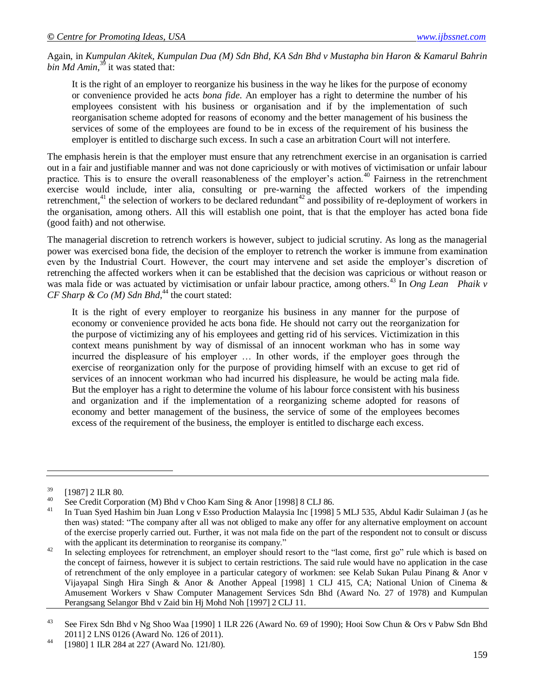Again, in *Kumpulan Akitek, Kumpulan Dua (M) Sdn Bhd, KA Sdn Bhd v Mustapha bin Haron & Kamarul Bahrin*  bin Md Amin,<sup>39</sup> it was stated that:

It is the right of an employer to reorganize his business in the way he likes for the purpose of economy or convenience provided he acts *bona fide*. An employer has a right to determine the number of his employees consistent with his business or organisation and if by the implementation of such reorganisation scheme adopted for reasons of economy and the better management of his business the services of some of the employees are found to be in excess of the requirement of his business the employer is entitled to discharge such excess. In such a case an arbitration Court will not interfere.

The emphasis herein is that the employer must ensure that any retrenchment exercise in an organisation is carried out in a fair and justifiable manner and was not done capriciously or with motives of victimisation or unfair labour practice. This is to ensure the overall reasonableness of the employer's action.<sup>40</sup> Fairness in the retrenchment exercise would include, inter alia, consulting or pre-warning the affected workers of the impending retrenchment, $41$  the selection of workers to be declared redundant $42$  and possibility of re-deployment of workers in the organisation, among others. All this will establish one point, that is that the employer has acted bona fide (good faith) and not otherwise.

The managerial discretion to retrench workers is however, subject to judicial scrutiny. As long as the managerial power was exercised bona fide, the decision of the employer to retrench the worker is immune from examination even by the Industrial Court. However, the court may intervene and set aside the employer's discretion of retrenching the affected workers when it can be established that the decision was capricious or without reason or was mala fide or was actuated by victimisation or unfair labour practice, among others.<sup>43</sup> In *Ong Lean Phaik v*  $CF$  Sharp & Co (M) Sdn Bhd,<sup>44</sup> the court stated:

It is the right of every employer to reorganize his business in any manner for the purpose of economy or convenience provided he acts bona fide. He should not carry out the reorganization for the purpose of victimizing any of his employees and getting rid of his services. Victimization in this context means punishment by way of dismissal of an innocent workman who has in some way incurred the displeasure of his employer … In other words, if the employer goes through the exercise of reorganization only for the purpose of providing himself with an excuse to get rid of services of an innocent workman who had incurred his displeasure, he would be acting mala fide. But the employer has a right to determine the volume of his labour force consistent with his business and organization and if the implementation of a reorganizing scheme adopted for reasons of economy and better management of the business, the service of some of the employees becomes excess of the requirement of the business, the employer is entitled to discharge each excess.

 $^{39}$  [1987] 2 ILR 80.

<sup>&</sup>lt;sup>40</sup> See Credit Corporation (M) Bhd v Choo Kam Sing & Anor [1998] 8 CLJ 86.

<sup>41</sup> In Tuan Syed Hashim bin Juan Long v Esso Production Malaysia Inc [1998] 5 MLJ 535, Abdul Kadir Sulaiman J (as he then was) stated: "The company after all was not obliged to make any offer for any alternative employment on account of the exercise properly carried out. Further, it was not mala fide on the part of the respondent not to consult or discuss with the applicant its determination to reorganise its company."

<sup>&</sup>lt;sup>42</sup> In selecting employees for retrenchment, an employer should resort to the "last come, first go" rule which is based on the concept of fairness, however it is subject to certain restrictions. The said rule would have no application in the case of retrenchment of the only employee in a particular category of workmen: see Kelab Sukan Pulau Pinang & Anor v Vijayapal Singh Hira Singh & Anor & Another Appeal [1998] 1 CLJ 415, CA; National Union of Cinema & Amusement Workers v Shaw Computer Management Services Sdn Bhd (Award No. 27 of 1978) and Kumpulan Perangsang Selangor Bhd v Zaid bin Hj Mohd Noh [1997] 2 CLJ 11.

<sup>&</sup>lt;sup>43</sup> See Firex Sdn Bhd v Ng Shoo Waa [1990] 1 ILR 226 (Award No. 69 of 1990); Hooi Sow Chun & Ors v Pabw Sdn Bhd 2011] 2 LNS 0126 (Award No. 126 of 2011).

<sup>44</sup> [1980] 1 ILR 284 at 227 (Award No. 121/80).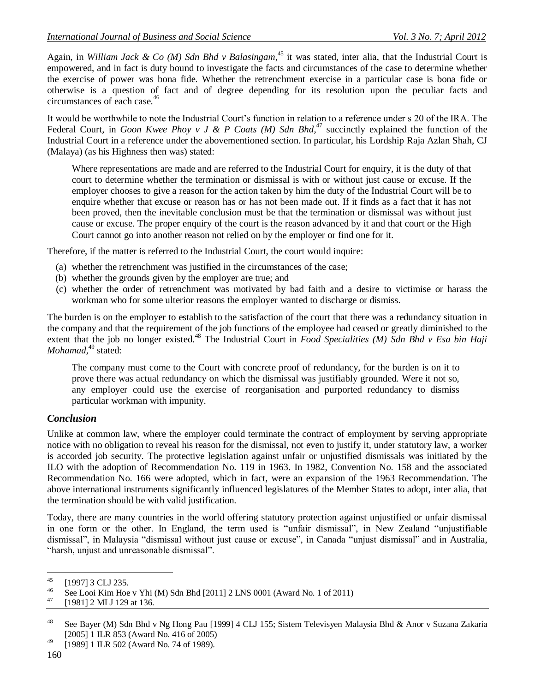Again, in *William Jack & Co (M) Sdn Bhd v Balasingam*, <sup>45</sup> it was stated, inter alia, that the Industrial Court is empowered, and in fact is duty bound to investigate the facts and circumstances of the case to determine whether the exercise of power was bona fide. Whether the retrenchment exercise in a particular case is bona fide or otherwise is a question of fact and of degree depending for its resolution upon the peculiar facts and circumstances of each case.<sup>46</sup>

It would be worthwhile to note the Industrial Court's function in relation to a reference under s 20 of the IRA. The Federal Court, in *Goon Kwee Phoy v J & P Coats (M) Sdn Bhd*<sup>47</sup> succinctly explained the function of the Industrial Court in a reference under the abovementioned section. In particular, his Lordship Raja Azlan Shah, CJ (Malaya) (as his Highness then was) stated:

Where representations are made and are referred to the Industrial Court for enquiry, it is the duty of that court to determine whether the termination or dismissal is with or without just cause or excuse. If the employer chooses to give a reason for the action taken by him the duty of the Industrial Court will be to enquire whether that excuse or reason has or has not been made out. If it finds as a fact that it has not been proved, then the inevitable conclusion must be that the termination or dismissal was without just cause or excuse. The proper enquiry of the court is the reason advanced by it and that court or the High Court cannot go into another reason not relied on by the employer or find one for it.

Therefore, if the matter is referred to the Industrial Court, the court would inquire:

- (a) whether the retrenchment was justified in the circumstances of the case;
- (b) whether the grounds given by the employer are true; and
- (c) whether the order of retrenchment was motivated by bad faith and a desire to victimise or harass the workman who for some ulterior reasons the employer wanted to discharge or dismiss.

The burden is on the employer to establish to the satisfaction of the court that there was a redundancy situation in the company and that the requirement of the job functions of the employee had ceased or greatly diminished to the extent that the job no longer existed.<sup>48</sup> The Industrial Court in *Food Specialities (M) Sdn Bhd v Esa bin Haji Mohamad*,<sup>49</sup> stated:

The company must come to the Court with concrete proof of redundancy, for the burden is on it to prove there was actual redundancy on which the dismissal was justifiably grounded. Were it not so, any employer could use the exercise of reorganisation and purported redundancy to dismiss particular workman with impunity.

#### *Conclusion*

Unlike at common law, where the employer could terminate the contract of employment by serving appropriate notice with no obligation to reveal his reason for the dismissal, not even to justify it, under statutory law, a worker is accorded job security. The protective legislation against unfair or unjustified dismissals was initiated by the ILO with the adoption of Recommendation No. 119 in 1963. In 1982, Convention No. 158 and the associated Recommendation No. 166 were adopted, which in fact, were an expansion of the 1963 Recommendation. The above international instruments significantly influenced legislatures of the Member States to adopt, inter alia, that the termination should be with valid justification.

Today, there are many countries in the world offering statutory protection against unjustified or unfair dismissal in one form or the other. In England, the term used is "unfair dismissal", in New Zealand "unjustifiable dismissal", in Malaysia "dismissal without just cause or excuse", in Canada "unjust dismissal" and in Australia, "harsh, unjust and unreasonable dismissal".

 $45$  $^{45}$  [1997] 3 CLJ 235.

<sup>&</sup>lt;sup>46</sup> See Looi Kim Hoe v Yhi (M) Sdn Bhd [2011] 2 LNS 0001 (Award No. 1 of 2011)

<sup>[1981] 2</sup> MLJ 129 at 136.

<sup>48</sup> See Bayer (M) Sdn Bhd v Ng Hong Pau [1999] 4 CLJ 155; Sistem Televisyen Malaysia Bhd & Anor v Suzana Zakaria [2005] 1 ILR 853 (Award No. 416 of 2005)

<sup>49</sup> [1989] 1 ILR 502 (Award No. 74 of 1989).